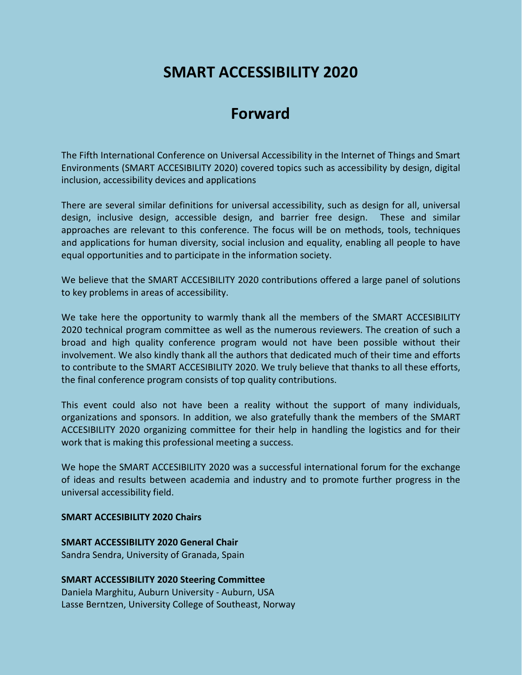## **SMART ACCESSIBILITY 2020**

## **Forward**

The Fifth International Conference on Universal Accessibility in the Internet of Things and Smart Environments (SMART ACCESIBILITY 2020) covered topics such as accessibility by design, digital inclusion, accessibility devices and applications

There are several similar definitions for universal accessibility, such as design for all, universal design, inclusive design, accessible design, and barrier free design. These and similar approaches are relevant to this conference. The focus will be on methods, tools, techniques and applications for human diversity, social inclusion and equality, enabling all people to have equal opportunities and to participate in the information society.

We believe that the SMART ACCESIBILITY 2020 contributions offered a large panel of solutions to key problems in areas of accessibility.

We take here the opportunity to warmly thank all the members of the SMART ACCESIBILITY 2020 technical program committee as well as the numerous reviewers. The creation of such a broad and high quality conference program would not have been possible without their involvement. We also kindly thank all the authors that dedicated much of their time and efforts to contribute to the SMART ACCESIBILITY 2020. We truly believe that thanks to all these efforts, the final conference program consists of top quality contributions.

This event could also not have been a reality without the support of many individuals, organizations and sponsors. In addition, we also gratefully thank the members of the SMART ACCESIBILITY 2020 organizing committee for their help in handling the logistics and for their work that is making this professional meeting a success.

We hope the SMART ACCESIBILITY 2020 was a successful international forum for the exchange of ideas and results between academia and industry and to promote further progress in the universal accessibility field.

## **SMART ACCESIBILITY 2020 Chairs**

**SMART ACCESSIBILITY 2020 General Chair** Sandra Sendra, University of Granada, Spain

**SMART ACCESSIBILITY 2020 Steering Committee** Daniela Marghitu, Auburn University - Auburn, USA Lasse Berntzen, University College of Southeast, Norway